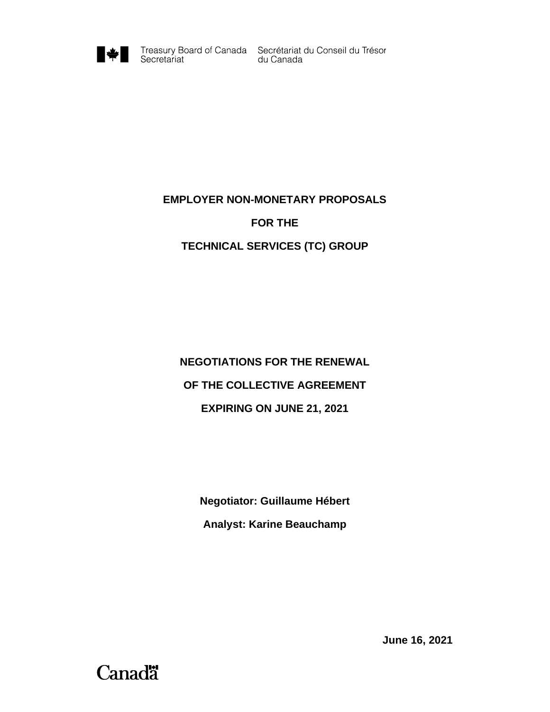

Treasury Board of Canada Secrétariat du Conseil du Trésor<br>du Canada

### **EMPLOYER NON-MONETARY PROPOSALS**

#### **FOR THE**

## **TECHNICAL SERVICES (TC) GROUP**

# **NEGOTIATIONS FOR THE RENEWAL OF THE COLLECTIVE AGREEMENT EXPIRING ON JUNE 21, 2021**

**Negotiator: Guillaume Hébert Analyst: Karine Beauchamp**

**June 16, 2021**

# **Canadä**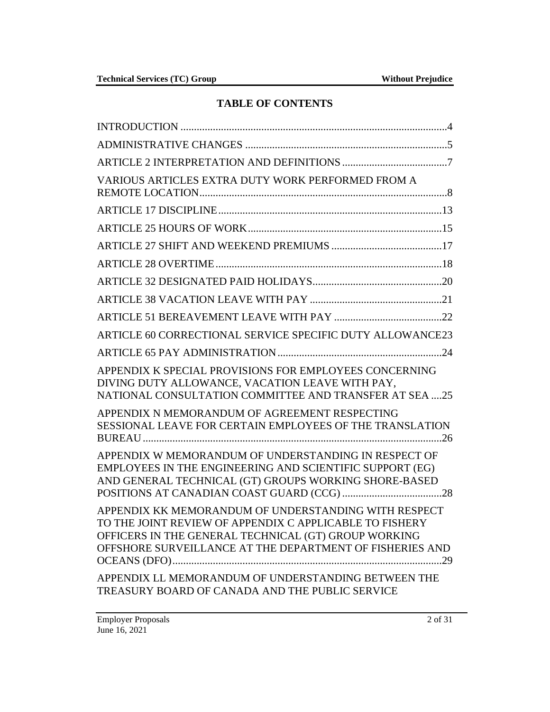# **TABLE OF CONTENTS**

| VARIOUS ARTICLES EXTRA DUTY WORK PERFORMED FROM A                                                                                                                                                                                   |
|-------------------------------------------------------------------------------------------------------------------------------------------------------------------------------------------------------------------------------------|
|                                                                                                                                                                                                                                     |
|                                                                                                                                                                                                                                     |
|                                                                                                                                                                                                                                     |
|                                                                                                                                                                                                                                     |
|                                                                                                                                                                                                                                     |
|                                                                                                                                                                                                                                     |
|                                                                                                                                                                                                                                     |
| ARTICLE 60 CORRECTIONAL SERVICE SPECIFIC DUTY ALLOWANCE23                                                                                                                                                                           |
|                                                                                                                                                                                                                                     |
| APPENDIX K SPECIAL PROVISIONS FOR EMPLOYEES CONCERNING<br>DIVING DUTY ALLOWANCE, VACATION LEAVE WITH PAY,<br>NATIONAL CONSULTATION COMMITTEE AND TRANSFER AT SEA 25                                                                 |
| APPENDIX N MEMORANDUM OF AGREEMENT RESPECTING<br>SESSIONAL LEAVE FOR CERTAIN EMPLOYEES OF THE TRANSLATION                                                                                                                           |
| APPENDIX W MEMORANDUM OF UNDERSTANDING IN RESPECT OF<br>EMPLOYEES IN THE ENGINEERING AND SCIENTIFIC SUPPORT (EG)<br>AND GENERAL TECHNICAL (GT) GROUPS WORKING SHORE-BASED                                                           |
| APPENDIX KK MEMORANDUM OF UNDERSTANDING WITH RESPECT<br>TO THE JOINT REVIEW OF APPENDIX C APPLICABLE TO FISHERY<br>OFFICERS IN THE GENERAL TECHNICAL (GT) GROUP WORKING<br>OFFSHORE SURVEILLANCE AT THE DEPARTMENT OF FISHERIES AND |
| APPENDIX LL MEMORANDUM OF UNDERSTANDING BETWEEN THE<br>TREASURY BOARD OF CANADA AND THE PUBLIC SERVICE                                                                                                                              |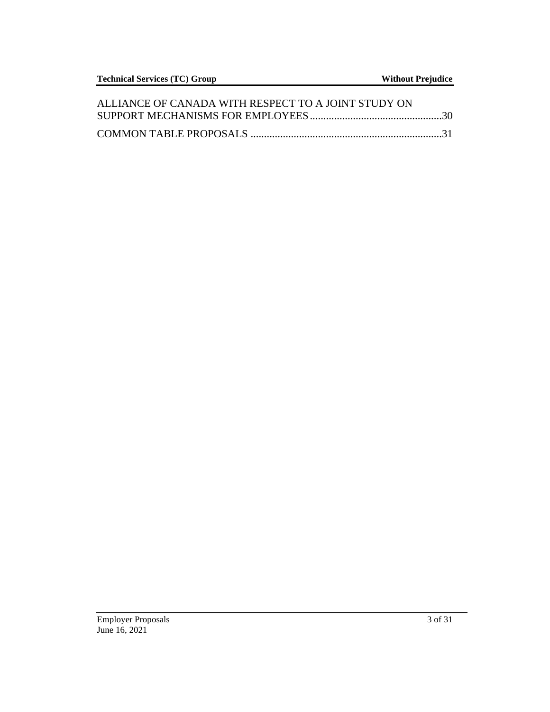| ALLIANCE OF CANADA WITH RESPECT TO A JOINT STUDY ON |  |
|-----------------------------------------------------|--|
|                                                     |  |
|                                                     |  |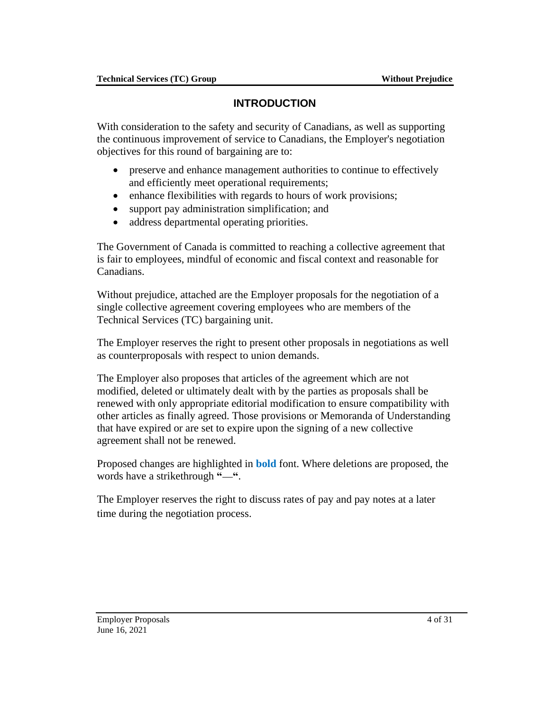# **INTRODUCTION**

<span id="page-3-0"></span>With consideration to the safety and security of Canadians, as well as supporting the continuous improvement of service to Canadians, the Employer's negotiation objectives for this round of bargaining are to:

- preserve and enhance management authorities to continue to effectively and efficiently meet operational requirements;
- enhance flexibilities with regards to hours of work provisions;
- support pay administration simplification; and
- address departmental operating priorities.

The Government of Canada is committed to reaching a collective agreement that is fair to employees, mindful of economic and fiscal context and reasonable for Canadians.

Without prejudice, attached are the Employer proposals for the negotiation of a single collective agreement covering employees who are members of the Technical Services (TC) bargaining unit.

The Employer reserves the right to present other proposals in negotiations as well as counterproposals with respect to union demands.

The Employer also proposes that articles of the agreement which are not modified, deleted or ultimately dealt with by the parties as proposals shall be renewed with only appropriate editorial modification to ensure compatibility with other articles as finally agreed. Those provisions or Memoranda of Understanding that have expired or are set to expire upon the signing of a new collective agreement shall not be renewed.

Proposed changes are highlighted in **bold** font. Where deletions are proposed, the words have a strikethrough "-".

The Employer reserves the right to discuss rates of pay and pay notes at a later time during the negotiation process.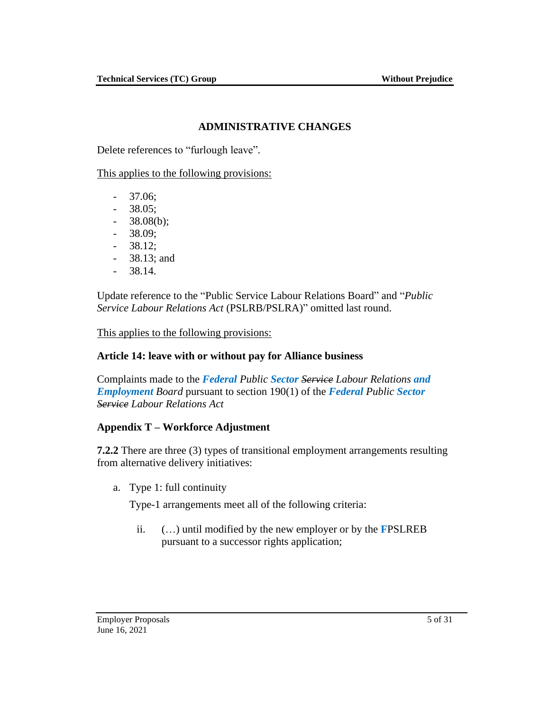## **ADMINISTRATIVE CHANGES**

<span id="page-4-0"></span>Delete references to "furlough leave".

This applies to the following provisions:

- 37.06;
- 38.05;
- $-38.08(b);$
- 38.09;
- 38.12;
- 38.13; and
- 38.14.

Update reference to the "Public Service Labour Relations Board" and "*Public Service Labour Relations Act* (PSLRB/PSLRA)" omitted last round.

This applies to the following provisions:

### **Article 14: leave with or without pay for Alliance business**

Complaints made to the *Federal Public Sector Service Labour Relations and Employment Board* pursuant to section 190(1) of the *Federal Public Sector Service Labour Relations Act*

### **Appendix T – Workforce Adjustment**

**7.2.2** There are three (3) types of transitional employment arrangements resulting from alternative delivery initiatives:

a. Type 1: full continuity

Type-1 arrangements meet all of the following criteria:

ii. (…) until modified by the new employer or by the **F**PSLREB pursuant to a successor rights application;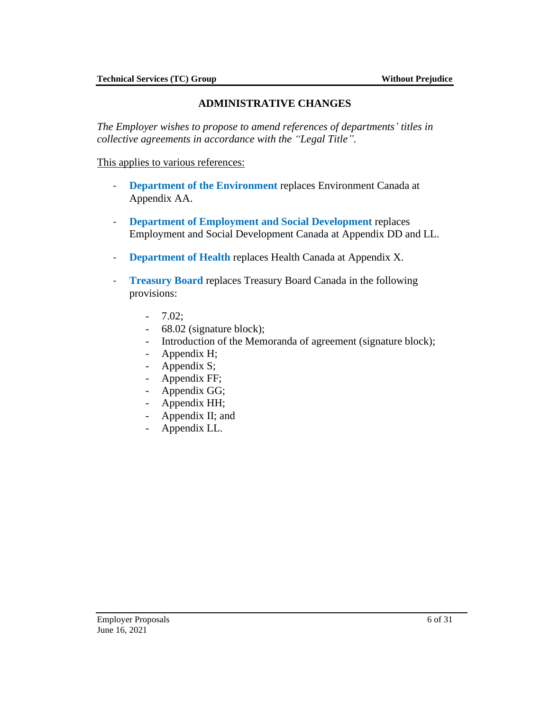# **ADMINISTRATIVE CHANGES**

*The Employer wishes to propose to amend references of departments' titles in collective agreements in accordance with the "Legal Title".* 

This applies to various references:

- **Department of the Environment** replaces Environment Canada at Appendix AA.
- **Department of Employment and Social Development** replaces Employment and Social Development Canada at Appendix DD and LL.
- **Department of Health** replaces Health Canada at Appendix X.
- **Treasury Board** replaces Treasury Board Canada in the following provisions:
	- 7.02;
	- 68.02 (signature block);
	- Introduction of the Memoranda of agreement (signature block);
	- Appendix H;
	- Appendix S;
	- Appendix FF;
	- Appendix GG;
	- Appendix HH;
	- Appendix II; and
	- Appendix LL.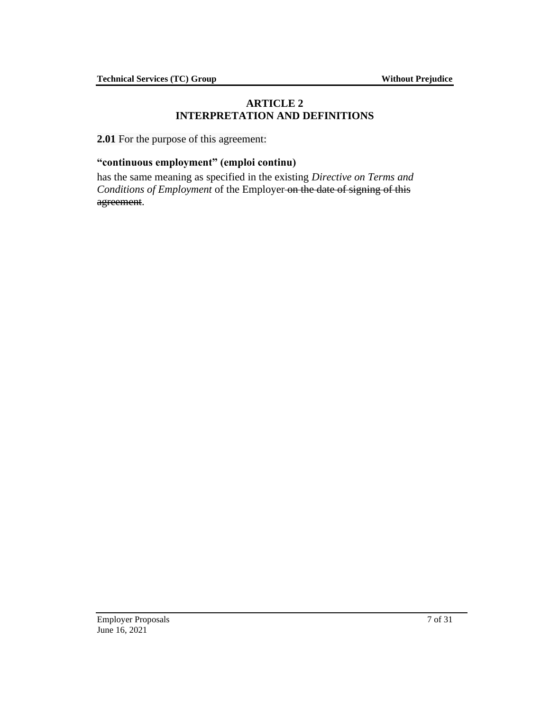## **ARTICLE 2 INTERPRETATION AND DEFINITIONS**

<span id="page-6-0"></span>**2.01** For the purpose of this agreement:

## **"continuous employment" (emploi continu)**

has the same meaning as specified in the existing *Directive on Terms and Conditions of Employment* of the Employer on the date of signing of this agreement.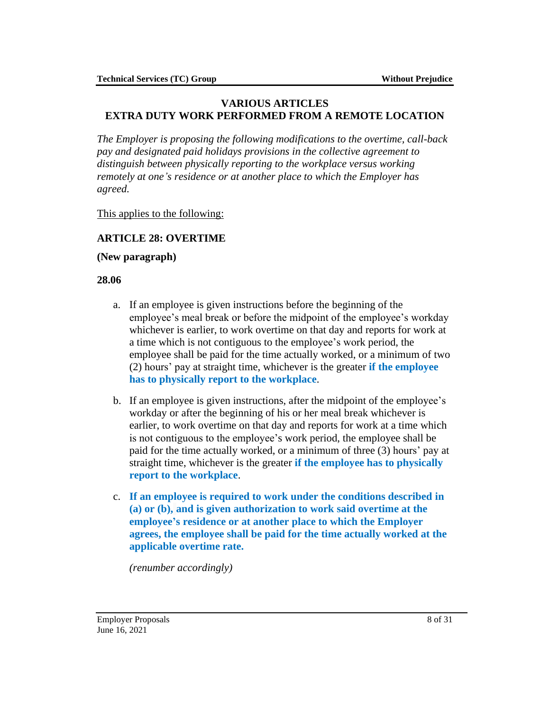### <span id="page-7-0"></span>**VARIOUS ARTICLES EXTRA DUTY WORK PERFORMED FROM A REMOTE LOCATION**

*The Employer is proposing the following modifications to the overtime, call-back pay and designated paid holidays provisions in the collective agreement to distinguish between physically reporting to the workplace versus working remotely at one's residence or at another place to which the Employer has agreed.*

This applies to the following:

# **ARTICLE 28: OVERTIME**

#### **(New paragraph)**

### **28.06**

- a. If an employee is given instructions before the beginning of the employee's meal break or before the midpoint of the employee's workday whichever is earlier, to work overtime on that day and reports for work at a time which is not contiguous to the employee's work period, the employee shall be paid for the time actually worked, or a minimum of two (2) hours' pay at straight time, whichever is the greater **if the employee has to physically report to the workplace**.
- b. If an employee is given instructions, after the midpoint of the employee's workday or after the beginning of his or her meal break whichever is earlier, to work overtime on that day and reports for work at a time which is not contiguous to the employee's work period, the employee shall be paid for the time actually worked, or a minimum of three (3) hours' pay at straight time, whichever is the greater **if the employee has to physically report to the workplace**.
- c. **If an employee is required to work under the conditions described in (a) or (b), and is given authorization to work said overtime at the employee's residence or at another place to which the Employer agrees, the employee shall be paid for the time actually worked at the applicable overtime rate.**

*(renumber accordingly)*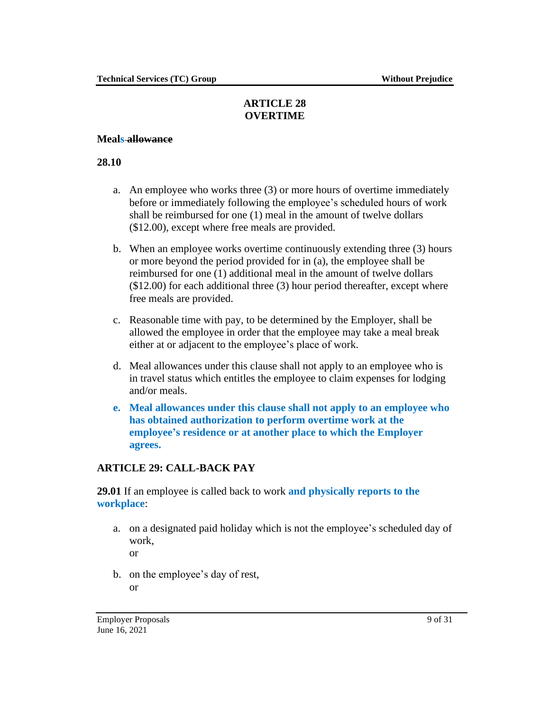# **ARTICLE 28 OVERTIME**

#### **Meals allowance**

#### **28.10**

- a. An employee who works three (3) or more hours of overtime immediately before or immediately following the employee's scheduled hours of work shall be reimbursed for one (1) meal in the amount of twelve dollars (\$12.00), except where free meals are provided.
- b. When an employee works overtime continuously extending three (3) hours or more beyond the period provided for in (a), the employee shall be reimbursed for one (1) additional meal in the amount of twelve dollars (\$12.00) for each additional three (3) hour period thereafter, except where free meals are provided.
- c. Reasonable time with pay, to be determined by the Employer, shall be allowed the employee in order that the employee may take a meal break either at or adjacent to the employee's place of work.
- d. Meal allowances under this clause shall not apply to an employee who is in travel status which entitles the employee to claim expenses for lodging and/or meals.
- **e. Meal allowances under this clause shall not apply to an employee who has obtained authorization to perform overtime work at the employee's residence or at another place to which the Employer agrees.**

### **ARTICLE 29: CALL-BACK PAY**

**29.01** If an employee is called back to work **and physically reports to the workplace**:

a. on a designated paid holiday which is not the employee's scheduled day of work,

or

b. on the employee's day of rest, or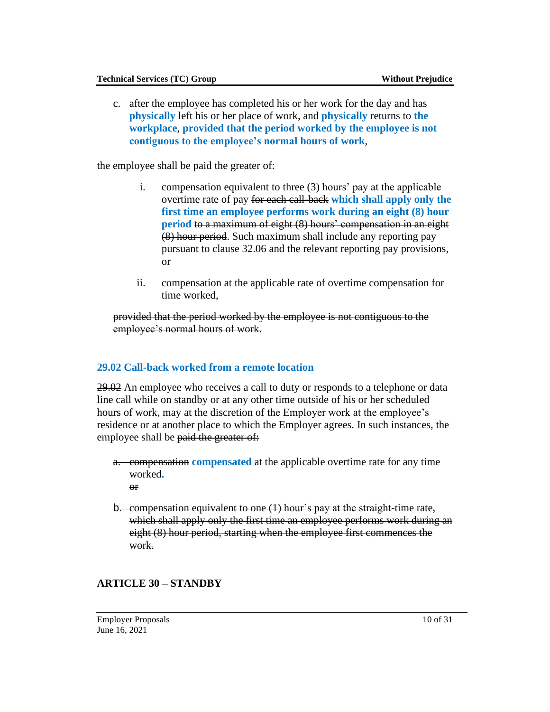c. after the employee has completed his or her work for the day and has **physically** left his or her place of work, and **physically** returns to **the workplace**, **provided that the period worked by the employee is not contiguous to the employee's normal hours of work**,

the employee shall be paid the greater of:

- i. compensation equivalent to three (3) hours' pay at the applicable overtime rate of pay for each call-back **which shall apply only the first time an employee performs work during an eight (8) hour period** to a maximum of eight (8) hours' compensation in an eight (8) hour period. Such maximum shall include any reporting pay pursuant to clause 32.06 and the relevant reporting pay provisions, or
- ii. compensation at the applicable rate of overtime compensation for time worked,

provided that the period worked by the employee is not contiguous to the employee's normal hours of work.

### **29.02 Call-back worked from a remote location**

29.02 An employee who receives a call to duty or responds to a telephone or data line call while on standby or at any other time outside of his or her scheduled hours of work, may at the discretion of the Employer work at the employee's residence or at another place to which the Employer agrees. In such instances, the employee shall be paid the greater of:

- a. compensation **compensated** at the applicable overtime rate for any time worked**.**
	- $\Theta$ **r**
- b. compensation equivalent to one (1) hour's pay at the straight-time rate, which shall apply only the first time an employee performs work during an eight (8) hour period, starting when the employee first commences the work.

# **ARTICLE 30 – STANDBY**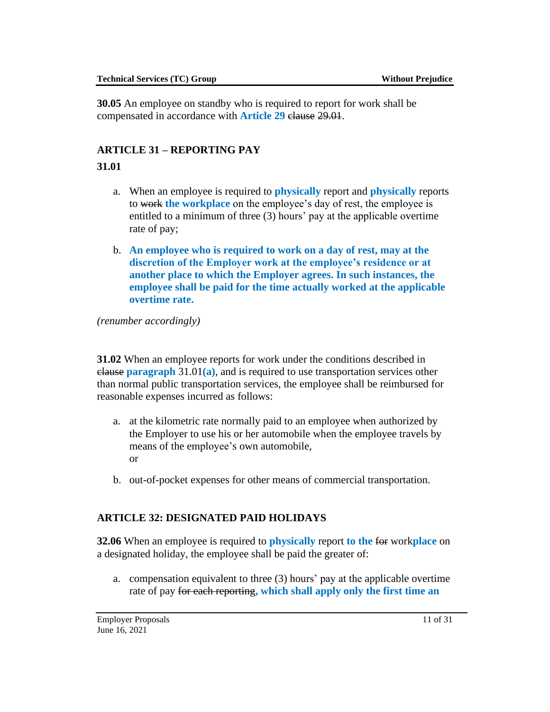**30.05** An employee on standby who is required to report for work shall be compensated in accordance with **Article 29** clause 29.01.

# **ARTICLE 31 – REPORTING PAY**

## **31.01**

- a. When an employee is required to **physically** report and **physically** reports to work **the workplace** on the employee's day of rest, the employee is entitled to a minimum of three (3) hours' pay at the applicable overtime rate of pay;
- b. **An employee who is required to work on a day of rest, may at the discretion of the Employer work at the employee's residence or at another place to which the Employer agrees. In such instances, the employee shall be paid for the time actually worked at the applicable overtime rate.**

*(renumber accordingly)*

**31.02** When an employee reports for work under the conditions described in clause **paragraph** 31.01**(a)**, and is required to use transportation services other than normal public transportation services, the employee shall be reimbursed for reasonable expenses incurred as follows:

- a. at the kilometric rate normally paid to an employee when authorized by the Employer to use his or her automobile when the employee travels by means of the employee's own automobile, or
- b. out-of-pocket expenses for other means of commercial transportation.

# **ARTICLE 32: DESIGNATED PAID HOLIDAYS**

**32.06** When an employee is required to **physically** report **to the** for work**place** on a designated holiday, the employee shall be paid the greater of:

a. compensation equivalent to three (3) hours' pay at the applicable overtime rate of pay for each reporting**, which shall apply only the first time an**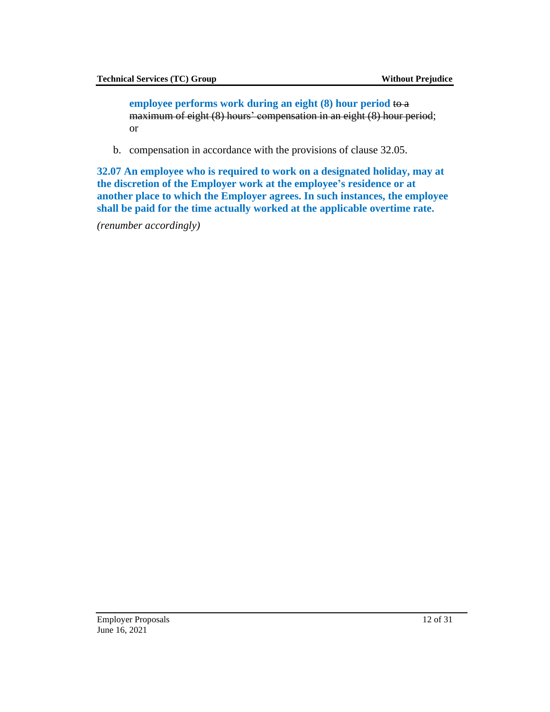**employee performs work during an eight (8) hour period** to a maximum of eight (8) hours' compensation in an eight (8) hour period; or

b. compensation in accordance with the provisions of clause 32.05.

**32.07 An employee who is required to work on a designated holiday, may at the discretion of the Employer work at the employee's residence or at another place to which the Employer agrees. In such instances, the employee shall be paid for the time actually worked at the applicable overtime rate.**

*(renumber accordingly)*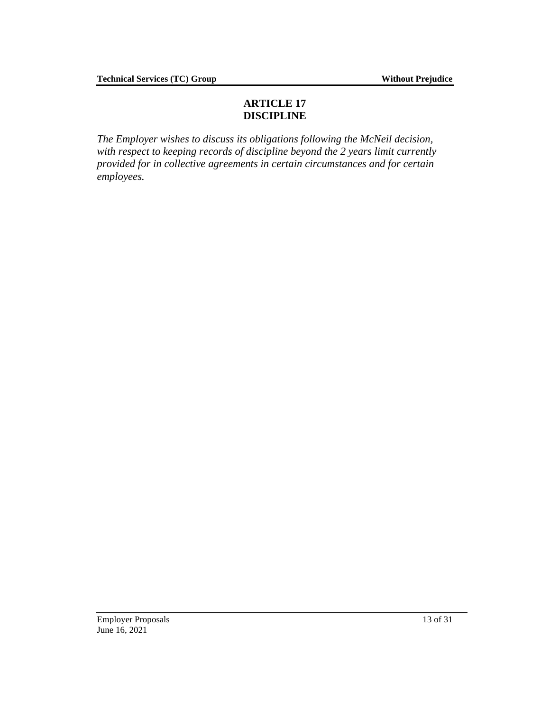# **ARTICLE 17 DISCIPLINE**

<span id="page-12-0"></span>*The Employer wishes to discuss its obligations following the McNeil decision, with respect to keeping records of discipline beyond the 2 years limit currently provided for in collective agreements in certain circumstances and for certain employees.*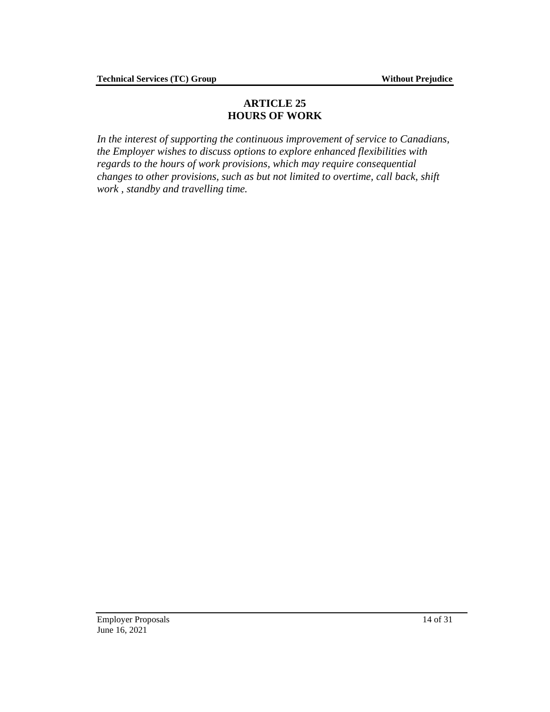### **ARTICLE 25 HOURS OF WORK**

*In the interest of supporting the continuous improvement of service to Canadians, the Employer wishes to discuss options to explore enhanced flexibilities with regards to the hours of work provisions, which may require consequential changes to other provisions, such as but not limited to overtime, call back, shift work , standby and travelling time.*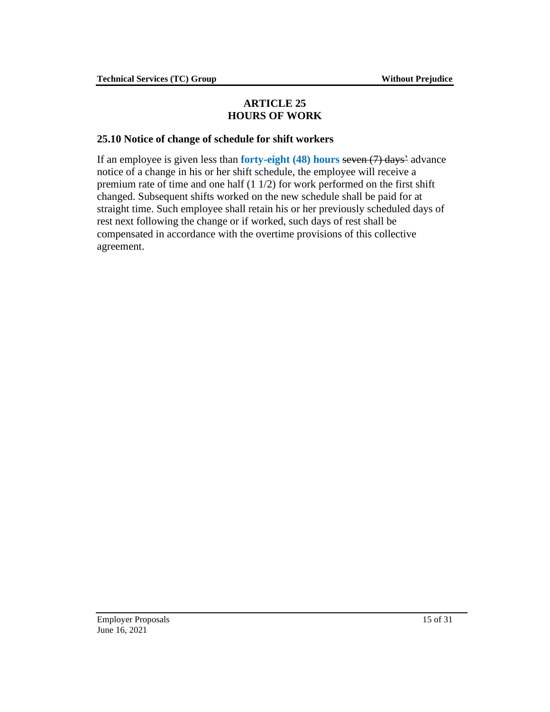## **ARTICLE 25 HOURS OF WORK**

## <span id="page-14-0"></span>**25.10 Notice of change of schedule for shift workers**

If an employee is given less than **forty-eight (48) hours** seven (7) days' advance notice of a change in his or her shift schedule, the employee will receive a premium rate of time and one half (1 1/2) for work performed on the first shift changed. Subsequent shifts worked on the new schedule shall be paid for at straight time. Such employee shall retain his or her previously scheduled days of rest next following the change or if worked, such days of rest shall be compensated in accordance with the overtime provisions of this collective agreement.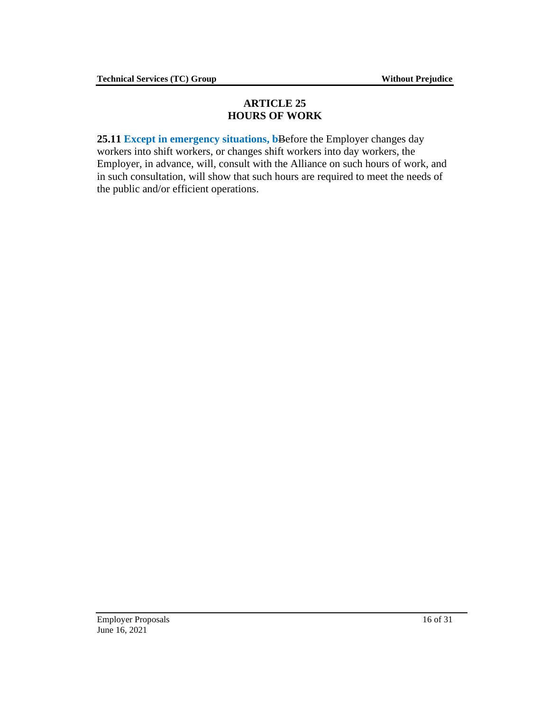## **ARTICLE 25 HOURS OF WORK**

**25.11 Except in emergency situations, b**Before the Employer changes day workers into shift workers, or changes shift workers into day workers, the Employer, in advance, will, consult with the Alliance on such hours of work, and in such consultation, will show that such hours are required to meet the needs of the public and/or efficient operations.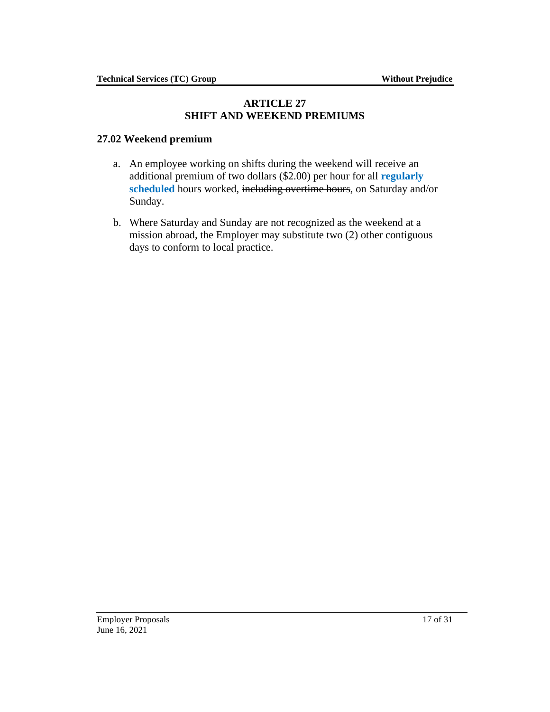#### **ARTICLE 27 SHIFT AND WEEKEND PREMIUMS**

### <span id="page-16-0"></span>**27.02 Weekend premium**

- a. An employee working on shifts during the weekend will receive an additional premium of two dollars (\$2.00) per hour for all **regularly scheduled** hours worked, including overtime hours, on Saturday and/or Sunday.
- b. Where Saturday and Sunday are not recognized as the weekend at a mission abroad, the Employer may substitute two (2) other contiguous days to conform to local practice.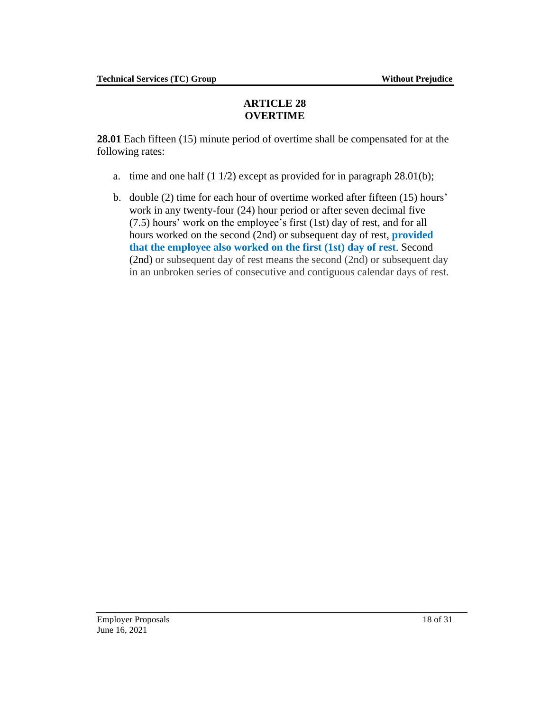## **ARTICLE 28 OVERTIME**

<span id="page-17-0"></span>**28.01** Each fifteen (15) minute period of overtime shall be compensated for at the following rates:

- a. time and one half  $(1 1/2)$  except as provided for in paragraph 28.01(b);
- b. double (2) time for each hour of overtime worked after fifteen (15) hours' work in any twenty-four (24) hour period or after seven decimal five (7.5) hours' work on the employee's first (1st) day of rest, and for all hours worked on the second (2nd) or subsequent day of rest, **provided that the employee also worked on the first (1st) day of rest**. Second (2nd) or subsequent day of rest means the second (2nd) or subsequent day in an unbroken series of consecutive and contiguous calendar days of rest.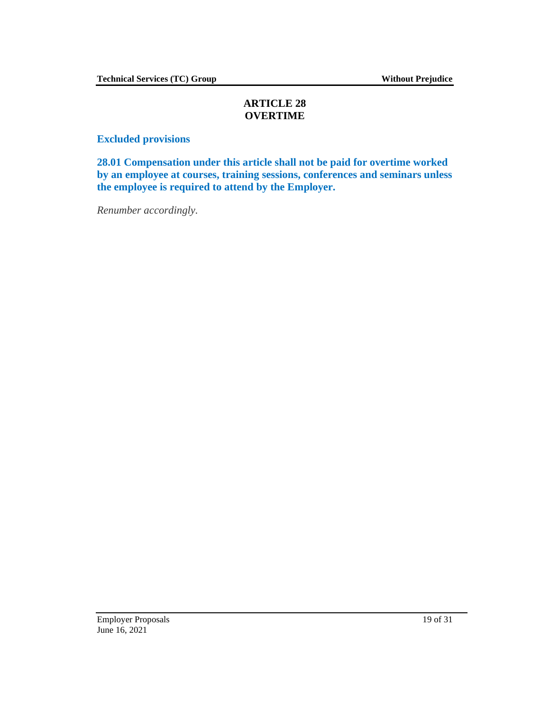## **ARTICLE 28 OVERTIME**

**Excluded provisions**

**28.01 Compensation under this article shall not be paid for overtime worked by an employee at courses, training sessions, conferences and seminars unless the employee is required to attend by the Employer.**

*Renumber accordingly.*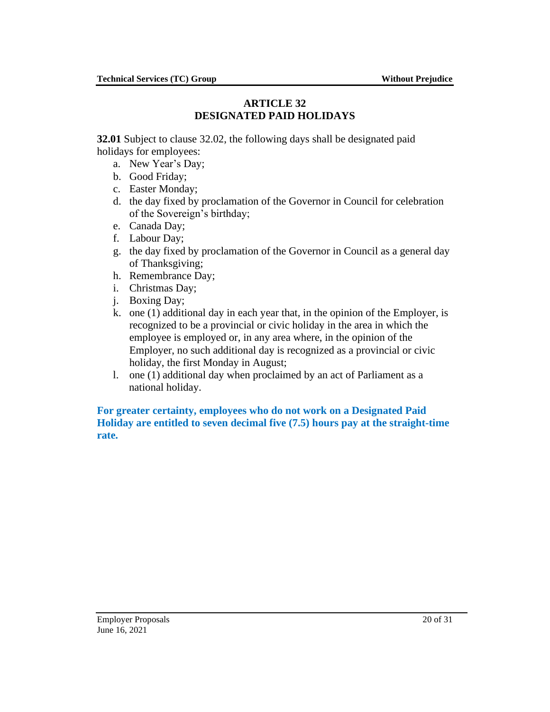#### **ARTICLE 32 DESIGNATED PAID HOLIDAYS**

<span id="page-19-0"></span>**32.01** Subject to clause 32.02, the following days shall be designated paid holidays for employees:

- a. New Year's Day;
- b. Good Friday;
- c. Easter Monday;
- d. the day fixed by proclamation of the Governor in Council for celebration of the Sovereign's birthday;
- e. Canada Day;
- f. Labour Day;
- g. the day fixed by proclamation of the Governor in Council as a general day of Thanksgiving;
- h. Remembrance Day;
- i. Christmas Day;
- j. Boxing Day;
- k. one (1) additional day in each year that, in the opinion of the Employer, is recognized to be a provincial or civic holiday in the area in which the employee is employed or, in any area where, in the opinion of the Employer, no such additional day is recognized as a provincial or civic holiday, the first Monday in August;
- l. one (1) additional day when proclaimed by an act of Parliament as a national holiday.

## **For greater certainty, employees who do not work on a Designated Paid Holiday are entitled to seven decimal five (7.5) hours pay at the straight-time rate.**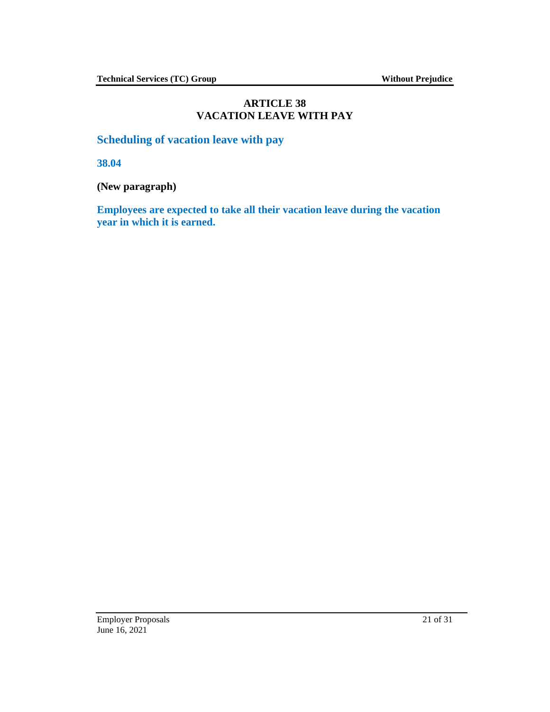### **ARTICLE 38 VACATION LEAVE WITH PAY**

<span id="page-20-0"></span>**Scheduling of vacation leave with pay**

**38.04**

**(New paragraph)**

**Employees are expected to take all their vacation leave during the vacation year in which it is earned.**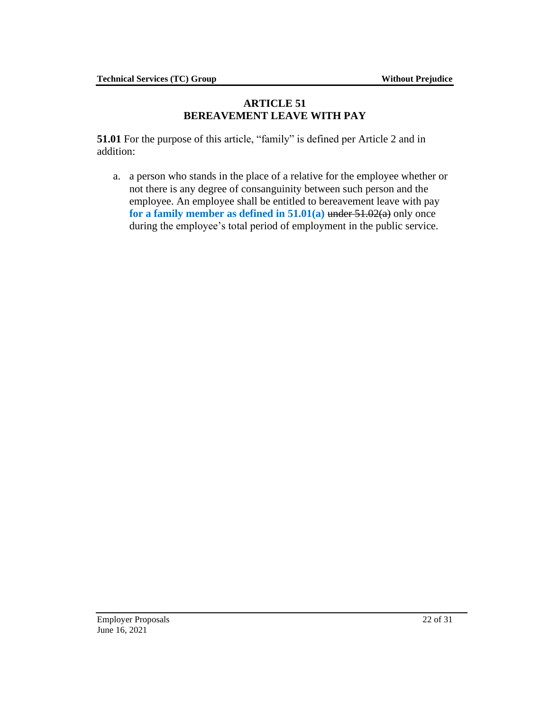#### **ARTICLE 51 BEREAVEMENT LEAVE WITH PAY**

<span id="page-21-0"></span>**51.01** For the purpose of this article, "family" is defined per Article 2 and in addition:

a. a person who stands in the place of a relative for the employee whether or not there is any degree of consanguinity between such person and the employee. An employee shall be entitled to bereavement leave with pay **for a family member as defined in 51.01(a)** under 51.02(a) only once during the employee's total period of employment in the public service.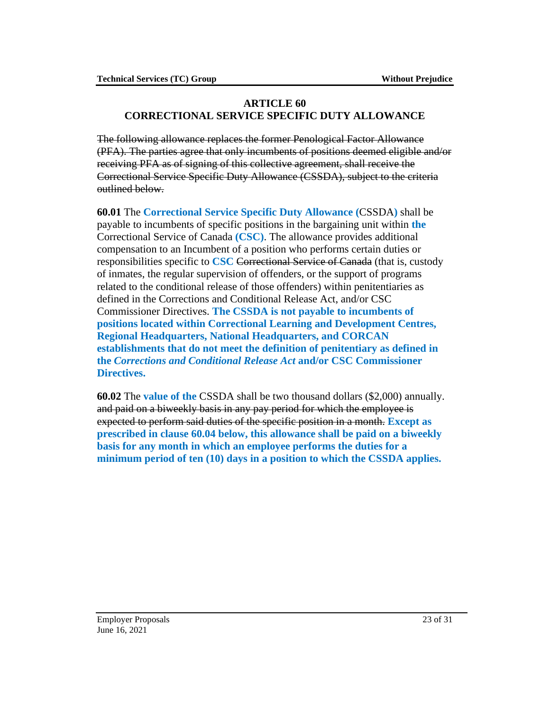#### <span id="page-22-0"></span>**ARTICLE 60 CORRECTIONAL SERVICE SPECIFIC DUTY ALLOWANCE**

The following allowance replaces the former Penological Factor Allowance (PFA). The parties agree that only incumbents of positions deemed eligible and/or receiving PFA as of signing of this collective agreement, shall receive the Correctional Service Specific Duty Allowance (CSSDA), subject to the criteria outlined below.

**60.01** The **Correctional Service Specific Duty Allowance (**CSSDA**)** shall be payable to incumbents of specific positions in the bargaining unit within **the** Correctional Service of Canada **(CSC)**. The allowance provides additional compensation to an Incumbent of a position who performs certain duties or responsibilities specific to **CSC** Correctional Service of Canada (that is, custody of inmates, the regular supervision of offenders, or the support of programs related to the conditional release of those offenders) within penitentiaries as defined in the Corrections and Conditional Release Act, and/or CSC Commissioner Directives. **The CSSDA is not payable to incumbents of positions located within Correctional Learning and Development Centres, Regional Headquarters, National Headquarters, and CORCAN establishments that do not meet the definition of penitentiary as defined in the** *Corrections and Conditional Release Act* **and/or CSC Commissioner Directives.**

**60.02** The **value of the** CSSDA shall be two thousand dollars (\$2,000) annually. and paid on a biweekly basis in any pay period for which the employee is expected to perform said duties of the specific position in a month. **Except as prescribed in clause 60.04 below, this allowance shall be paid on a biweekly basis for any month in which an employee performs the duties for a minimum period of ten (10) days in a position to which the CSSDA applies.**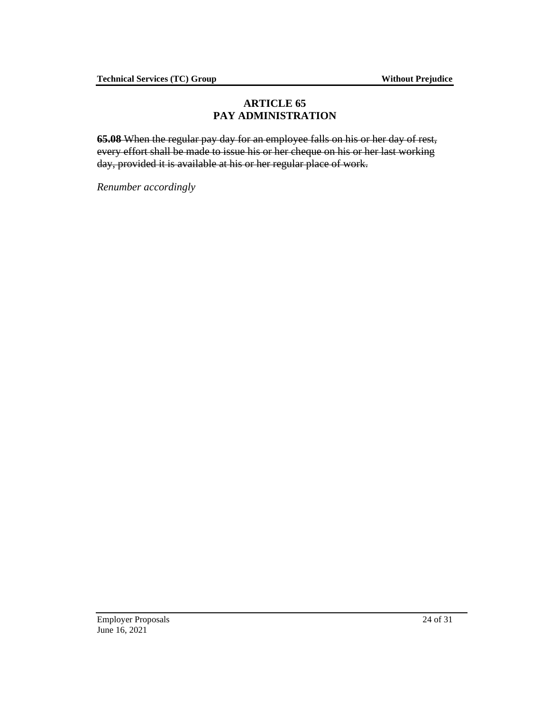## **ARTICLE 65 PAY ADMINISTRATION**

<span id="page-23-0"></span>**65.08** When the regular pay day for an employee falls on his or her day of rest, every effort shall be made to issue his or her cheque on his or her last working day, provided it is available at his or her regular place of work.

*Renumber accordingly*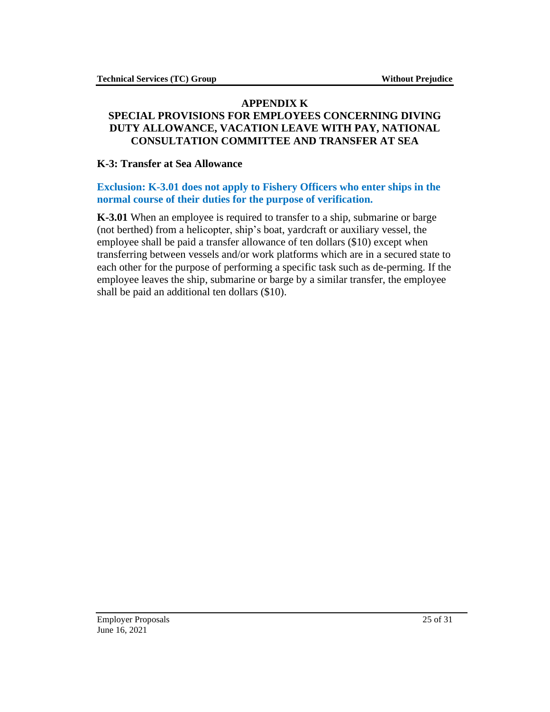#### <span id="page-24-0"></span>**APPENDIX K SPECIAL PROVISIONS FOR EMPLOYEES CONCERNING DIVING DUTY ALLOWANCE, VACATION LEAVE WITH PAY, NATIONAL CONSULTATION COMMITTEE AND TRANSFER AT SEA**

#### **K-3: Transfer at Sea Allowance**

#### **Exclusion: K-3.01 does not apply to Fishery Officers who enter ships in the normal course of their duties for the purpose of verification.**

**K-3.01** When an employee is required to transfer to a ship, submarine or barge (not berthed) from a helicopter, ship's boat, yardcraft or auxiliary vessel, the employee shall be paid a transfer allowance of ten dollars (\$10) except when transferring between vessels and/or work platforms which are in a secured state to each other for the purpose of performing a specific task such as de-perming. If the employee leaves the ship, submarine or barge by a similar transfer, the employee shall be paid an additional ten dollars (\$10).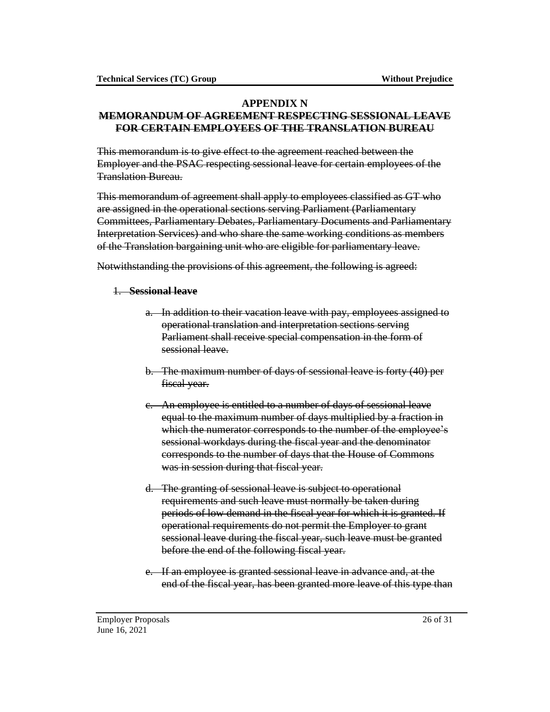## **APPENDIX N**

#### <span id="page-25-0"></span>**MEMORANDUM OF AGREEMENT RESPECTING SESSIONAL LEAVE FOR CERTAIN EMPLOYEES OF THE TRANSLATION BUREAU**

This memorandum is to give effect to the agreement reached between the Employer and the PSAC respecting sessional leave for certain employees of the Translation Bureau.

This memorandum of agreement shall apply to employees classified as GT who are assigned in the operational sections serving Parliament (Parliamentary Committees, Parliamentary Debates, Parliamentary Documents and Parliamentary Interpretation Services) and who share the same working conditions as members of the Translation bargaining unit who are eligible for parliamentary leave.

Notwithstanding the provisions of this agreement, the following is agreed:

#### 1. **Sessional leave**

- a. In addition to their vacation leave with pay, employees assigned to operational translation and interpretation sections serving Parliament shall receive special compensation in the form of sessional leave.
- b. The maximum number of days of sessional leave is forty (40) per fiscal year.
- c. An employee is entitled to a number of days of sessional leave equal to the maximum number of days multiplied by a fraction in which the numerator corresponds to the number of the employee's sessional workdays during the fiscal year and the denominator corresponds to the number of days that the House of Commons was in session during that fiscal year.
- d. The granting of sessional leave is subject to operational requirements and such leave must normally be taken during periods of low demand in the fiscal year for which it is granted. If operational requirements do not permit the Employer to grant sessional leave during the fiscal year, such leave must be granted before the end of the following fiscal year.
- e. If an employee is granted sessional leave in advance and, at the end of the fiscal year, has been granted more leave of this type than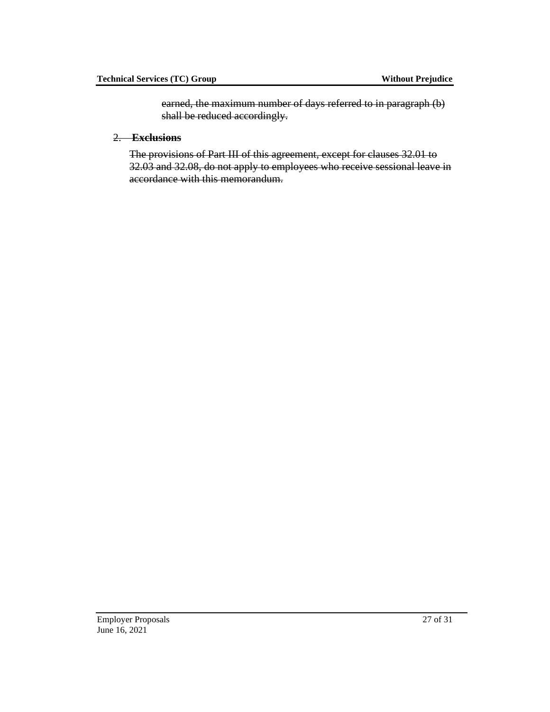earned, the maximum number of days referred to in paragraph (b) shall be reduced accordingly.

2. **Exclusions**

The provisions of Part III of this agreement, except for clauses 32.01 to 32.03 and 32.08, do not apply to employees who receive sessional leave in accordance with this memorandum.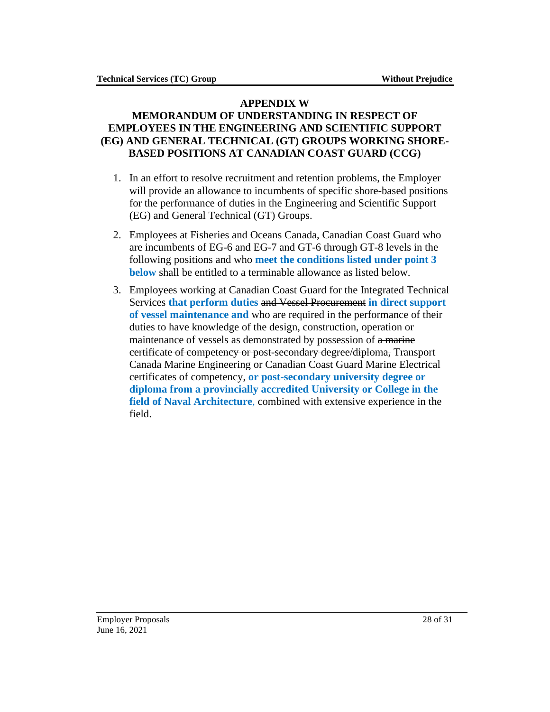#### **APPENDIX W**

### <span id="page-27-0"></span>**MEMORANDUM OF UNDERSTANDING IN RESPECT OF EMPLOYEES IN THE ENGINEERING AND SCIENTIFIC SUPPORT (EG) AND GENERAL TECHNICAL (GT) GROUPS WORKING SHORE-BASED POSITIONS AT CANADIAN COAST GUARD (CCG)**

- 1. In an effort to resolve recruitment and retention problems, the Employer will provide an allowance to incumbents of specific shore-based positions for the performance of duties in the Engineering and Scientific Support (EG) and General Technical (GT) Groups.
- 2. Employees at Fisheries and Oceans Canada, Canadian Coast Guard who are incumbents of EG-6 and EG-7 and GT-6 through GT-8 levels in the following positions and who **meet the conditions listed under point 3 below** shall be entitled to a terminable allowance as listed below.
- 3. Employees working at Canadian Coast Guard for the Integrated Technical Services **that perform duties** and Vessel Procurement **in direct support of vessel maintenance and** who are required in the performance of their duties to have knowledge of the design, construction, operation or maintenance of vessels as demonstrated by possession of a marine certificate of competency or post-secondary degree/diploma, Transport Canada Marine Engineering or Canadian Coast Guard Marine Electrical certificates of competency, **or post-secondary university degree or diploma from a provincially accredited University or College in the field of Naval Architecture**, combined with extensive experience in the field.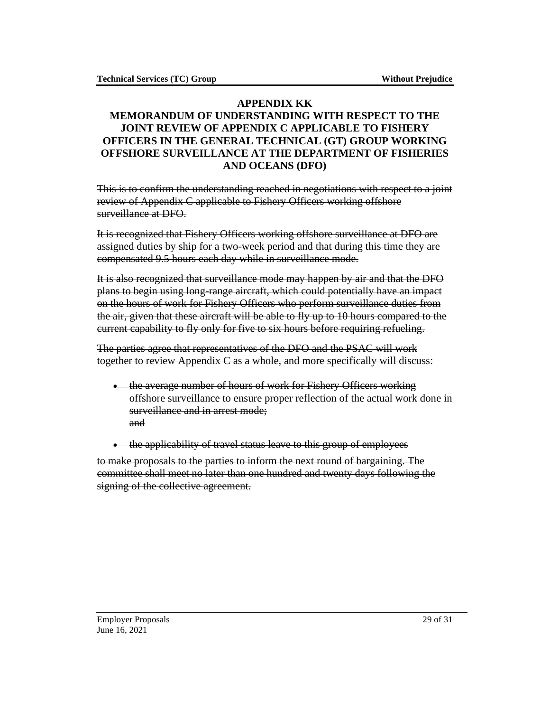### <span id="page-28-0"></span>**APPENDIX KK MEMORANDUM OF UNDERSTANDING WITH RESPECT TO THE JOINT REVIEW OF APPENDIX C APPLICABLE TO FISHERY OFFICERS IN THE GENERAL TECHNICAL (GT) GROUP WORKING OFFSHORE SURVEILLANCE AT THE DEPARTMENT OF FISHERIES AND OCEANS (DFO)**

This is to confirm the understanding reached in negotiations with respect to a joint review of Appendix C applicable to Fishery Officers working offshore surveillance at DFO.

It is recognized that Fishery Officers working offshore surveillance at DFO are assigned duties by ship for a two-week period and that during this time they are compensated 9.5 hours each day while in surveillance mode.

It is also recognized that surveillance mode may happen by air and that the DFO plans to begin using long-range aircraft, which could potentially have an impact on the hours of work for Fishery Officers who perform surveillance duties from the air, given that these aircraft will be able to fly up to 10 hours compared to the current capability to fly only for five to six hours before requiring refueling.

The parties agree that representatives of the DFO and the PSAC will work together to review Appendix C as a whole, and more specifically will discuss:

- the average number of hours of work for Fishery Officers working offshore surveillance to ensure proper reflection of the actual work done in surveillance and in arrest mode; and
- the applicability of travel status leave to this group of employees

to make proposals to the parties to inform the next round of bargaining. The committee shall meet no later than one hundred and twenty days following the signing of the collective agreement.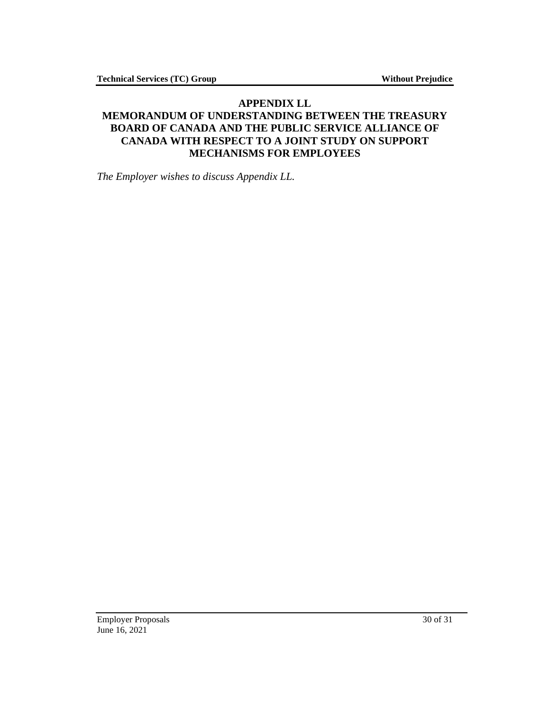## <span id="page-29-0"></span>**APPENDIX LL MEMORANDUM OF UNDERSTANDING BETWEEN THE TREASURY BOARD OF CANADA AND THE PUBLIC SERVICE ALLIANCE OF CANADA WITH RESPECT TO A JOINT STUDY ON SUPPORT MECHANISMS FOR EMPLOYEES**

*The Employer wishes to discuss Appendix LL.*